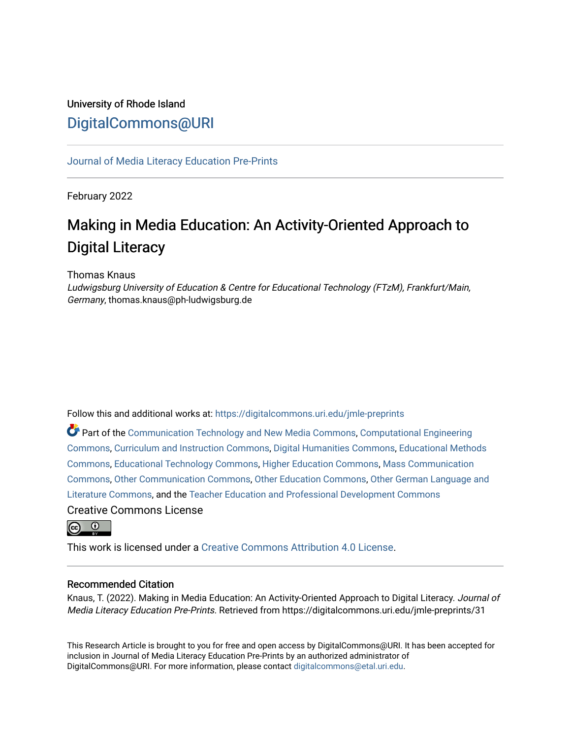# University of Rhode Island [DigitalCommons@URI](https://digitalcommons.uri.edu/)

[Journal of Media Literacy Education Pre-Prints](https://digitalcommons.uri.edu/jmle-preprints)

February 2022

# Making in Media Education: An Activity-Oriented Approach to Digital Literacy

Thomas Knaus

Ludwigsburg University of Education & Centre for Educational Technology (FTzM), Frankfurt/Main, Germany, thomas.knaus@ph-ludwigsburg.de

Follow this and additional works at: [https://digitalcommons.uri.edu/jmle-preprints](https://digitalcommons.uri.edu/jmle-preprints?utm_source=digitalcommons.uri.edu%2Fjmle-preprints%2F31&utm_medium=PDF&utm_campaign=PDFCoverPages) 

Part of the [Communication Technology and New Media Commons,](http://network.bepress.com/hgg/discipline/327?utm_source=digitalcommons.uri.edu%2Fjmle-preprints%2F31&utm_medium=PDF&utm_campaign=PDFCoverPages) [Computational Engineering](http://network.bepress.com/hgg/discipline/311?utm_source=digitalcommons.uri.edu%2Fjmle-preprints%2F31&utm_medium=PDF&utm_campaign=PDFCoverPages)  [Commons](http://network.bepress.com/hgg/discipline/311?utm_source=digitalcommons.uri.edu%2Fjmle-preprints%2F31&utm_medium=PDF&utm_campaign=PDFCoverPages), [Curriculum and Instruction Commons](http://network.bepress.com/hgg/discipline/786?utm_source=digitalcommons.uri.edu%2Fjmle-preprints%2F31&utm_medium=PDF&utm_campaign=PDFCoverPages), [Digital Humanities Commons,](http://network.bepress.com/hgg/discipline/1286?utm_source=digitalcommons.uri.edu%2Fjmle-preprints%2F31&utm_medium=PDF&utm_campaign=PDFCoverPages) [Educational Methods](http://network.bepress.com/hgg/discipline/1227?utm_source=digitalcommons.uri.edu%2Fjmle-preprints%2F31&utm_medium=PDF&utm_campaign=PDFCoverPages)  [Commons](http://network.bepress.com/hgg/discipline/1227?utm_source=digitalcommons.uri.edu%2Fjmle-preprints%2F31&utm_medium=PDF&utm_campaign=PDFCoverPages), [Educational Technology Commons](http://network.bepress.com/hgg/discipline/1415?utm_source=digitalcommons.uri.edu%2Fjmle-preprints%2F31&utm_medium=PDF&utm_campaign=PDFCoverPages), [Higher Education Commons](http://network.bepress.com/hgg/discipline/1245?utm_source=digitalcommons.uri.edu%2Fjmle-preprints%2F31&utm_medium=PDF&utm_campaign=PDFCoverPages), [Mass Communication](http://network.bepress.com/hgg/discipline/334?utm_source=digitalcommons.uri.edu%2Fjmle-preprints%2F31&utm_medium=PDF&utm_campaign=PDFCoverPages) [Commons](http://network.bepress.com/hgg/discipline/334?utm_source=digitalcommons.uri.edu%2Fjmle-preprints%2F31&utm_medium=PDF&utm_campaign=PDFCoverPages), [Other Communication Commons,](http://network.bepress.com/hgg/discipline/339?utm_source=digitalcommons.uri.edu%2Fjmle-preprints%2F31&utm_medium=PDF&utm_campaign=PDFCoverPages) [Other Education Commons,](http://network.bepress.com/hgg/discipline/811?utm_source=digitalcommons.uri.edu%2Fjmle-preprints%2F31&utm_medium=PDF&utm_campaign=PDFCoverPages) [Other German Language and](http://network.bepress.com/hgg/discipline/470?utm_source=digitalcommons.uri.edu%2Fjmle-preprints%2F31&utm_medium=PDF&utm_campaign=PDFCoverPages)  [Literature Commons,](http://network.bepress.com/hgg/discipline/470?utm_source=digitalcommons.uri.edu%2Fjmle-preprints%2F31&utm_medium=PDF&utm_campaign=PDFCoverPages) and the [Teacher Education and Professional Development Commons](http://network.bepress.com/hgg/discipline/803?utm_source=digitalcommons.uri.edu%2Fjmle-preprints%2F31&utm_medium=PDF&utm_campaign=PDFCoverPages) Creative Commons License

<u>ര</u> 0

This work is licensed under a [Creative Commons Attribution 4.0 License](https://creativecommons.org/licenses/by/4.0/).

# Recommended Citation

Knaus, T. (2022). Making in Media Education: An Activity-Oriented Approach to Digital Literacy. Journal of Media Literacy Education Pre-Prints. Retrieved from https://digitalcommons.uri.edu/jmle-preprints/31

This Research Article is brought to you for free and open access by DigitalCommons@URI. It has been accepted for inclusion in Journal of Media Literacy Education Pre-Prints by an authorized administrator of DigitalCommons@URI. For more information, please contact [digitalcommons@etal.uri.edu.](mailto:digitalcommons@etal.uri.edu)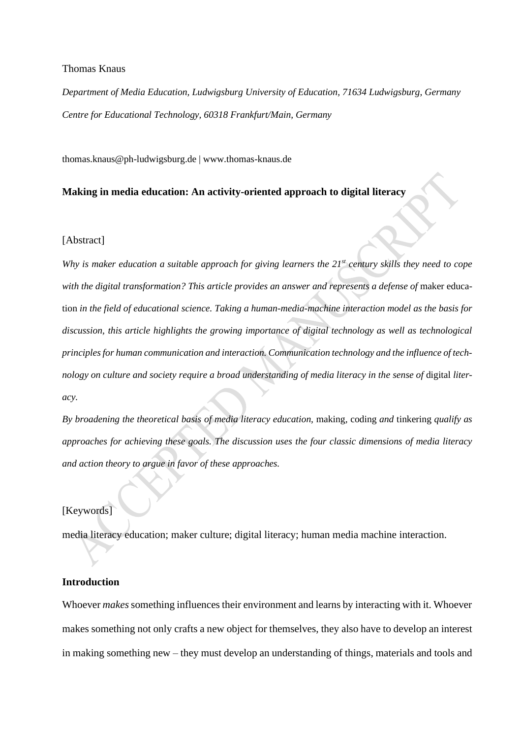## Thomas Knaus

*Department of Media Education, Ludwigsburg University of Education, 71634 Ludwigsburg, Germany Centre for Educational Technology, 60318 Frankfurt/Main, Germany*

thomas.knaus@ph-ludwigsburg.de | www.thomas-knaus.de

# **Making in media education: An activity-oriented approach to digital literacy**

## [Abstract]

*Why is maker education a suitable approach for giving learners the 21st century skills they need to cope*  with the digital transformation? This article provides an answer and represents a defense of maker education *in the field of educational science. Taking a human-media-machine interaction model as the basis for discussion, this article highlights the growing importance of digital technology as well as technological principles for human communication and interaction. Communication technology and the influence of tech*nology on culture and society require a broad understanding of media literacy in the sense of digital liter*acy.* 

*By broadening the theoretical basis of media literacy education,* making*,* coding *and* tinkering *qualify as approaches for achieving these goals. The discussion uses the four classic dimensions of media literacy and action theory to argue in favor of these approaches.* 

# [Keywords]

media literacy education; maker culture; digital literacy; human media machine interaction.

# **Introduction**

Whoever *makes*something influences their environment and learns by interacting with it. Whoever makes something not only crafts a new object for themselves, they also have to develop an interest in making something new – they must develop an understanding of things, materials and tools and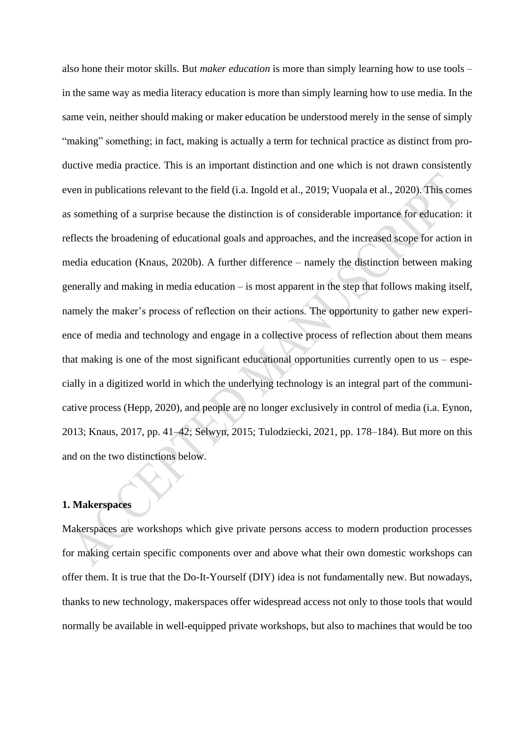also hone their motor skills. But *maker education* is more than simply learning how to use tools – in the same way as media literacy education is more than simply learning how to use media. In the same vein, neither should making or maker education be understood merely in the sense of simply "making" something; in fact, making is actually a term for technical practice as distinct from productive media practice. This is an important distinction and one which is not drawn consistently even in publications relevant to the field (i.a. Ingold et al., 2019; Vuopala et al., 2020). This comes as something of a surprise because the distinction is of considerable importance for education: it reflects the broadening of educational goals and approaches, and the increased scope for action in media education (Knaus, 2020b). A further difference – namely the distinction between making generally and making in media education – is most apparent in the step that follows making itself, namely the maker's process of reflection on their actions. The opportunity to gather new experience of media and technology and engage in a collective process of reflection about them means that making is one of the most significant educational opportunities currently open to us – especially in a digitized world in which the underlying technology is an integral part of the communicative process (Hepp, 2020), and people are no longer exclusively in control of media (i.a. Eynon, 2013; Knaus, 2017, pp. 41–42; Selwyn, 2015; Tulodziecki, 2021, pp. 178–184). But more on this and on the two distinctions below.

## **1. Makerspaces**

Makerspaces are workshops which give private persons access to modern production processes for making certain specific components over and above what their own domestic workshops can offer them. It is true that the Do-It-Yourself (DIY) idea is not fundamentally new. But nowadays, thanks to new technology, makerspaces offer widespread access not only to those tools that would normally be available in well-equipped private workshops, but also to machines that would be too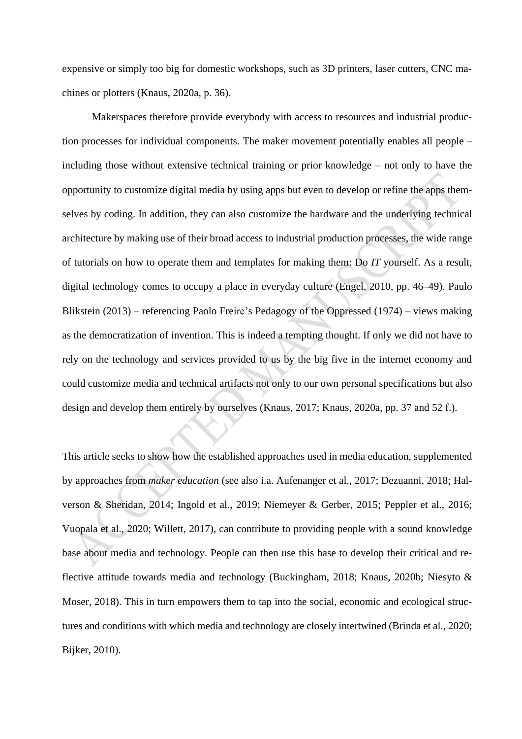expensive or simply too big for domestic workshops, such as 3D printers, laser cutters, CNC machines or plotters (Knaus, 2020a, p. 36).

Makerspaces therefore provide everybody with access to resources and industrial production processes for individual components. The maker movement potentially enables all people – including those without extensive technical training or prior knowledge – not only to have the opportunity to customize digital media by using apps but even to develop or refine the apps themselves by coding. In addition, they can also customize the hardware and the underlying technical architecture by making use of their broad access to industrial production processes, the wide range of tutorials on how to operate them and templates for making them: Do *IT* yourself. As a result, digital technology comes to occupy a place in everyday culture (Engel, 2010, pp. 46–49). Paulo Blikstein (2013) – referencing Paolo Freire's Pedagogy of the Oppressed (1974) – views making as the democratization of invention. This is indeed a tempting thought. If only we did not have to rely on the technology and services provided to us by the big five in the internet economy and could customize media and technical artifacts not only to our own personal specifications but also design and develop them entirely by ourselves (Knaus, 2017; Knaus, 2020a, pp. 37 and 52 f.).

This article seeks to show how the established approaches used in media education, supplemented by approaches from *maker education* (see also i.a. Aufenanger et al., 2017; Dezuanni, 2018; Halverson & Sheridan, 2014; Ingold et al., 2019; Niemeyer & Gerber, 2015; Peppler et al., 2016; Vuopala et al., 2020; Willett, 2017), can contribute to providing people with a sound knowledge base about media and technology. People can then use this base to develop their critical and reflective attitude towards media and technology (Buckingham, 2018; Knaus, 2020b; Niesyto & Moser, 2018). This in turn empowers them to tap into the social, economic and ecological structures and conditions with which media and technology are closely intertwined (Brinda et al., 2020; Bijker, 2010).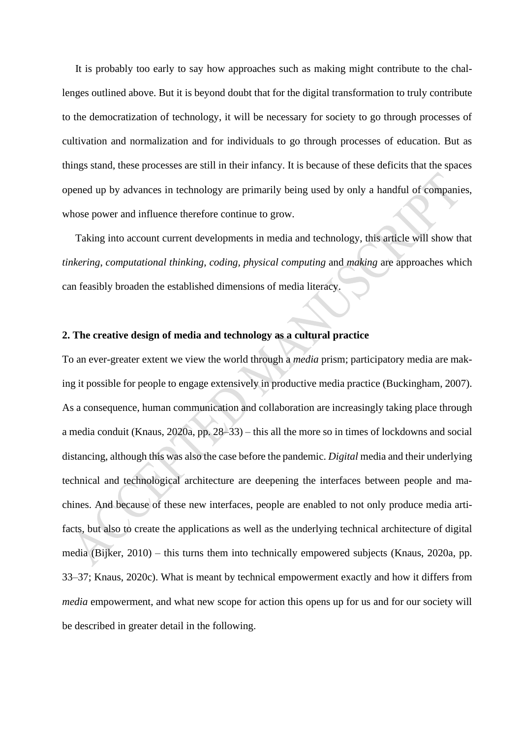It is probably too early to say how approaches such as making might contribute to the challenges outlined above. But it is beyond doubt that for the digital transformation to truly contribute to the democratization of technology, it will be necessary for society to go through processes of cultivation and normalization and for individuals to go through processes of education. But as things stand, these processes are still in their infancy. It is because of these deficits that the spaces opened up by advances in technology are primarily being used by only a handful of companies, whose power and influence therefore continue to grow.

Taking into account current developments in media and technology, this article will show that *tinkering*, *computational thinking*, *coding, physical computing* and *making* are approaches which can feasibly broaden the established dimensions of media literacy.

# **2. The creative design of media and technology as a cultural practice**

To an ever-greater extent we view the world through a *media* prism; participatory media are making it possible for people to engage extensively in productive media practice (Buckingham, 2007). As a consequence, human communication and collaboration are increasingly taking place through a media conduit (Knaus, 2020a, pp. 28–33) – this all the more so in times of lockdowns and social distancing, although this was also the case before the pandemic. *Digital* media and their underlying technical and technological architecture are deepening the interfaces between people and machines. And because of these new interfaces, people are enabled to not only produce media artifacts, but also to create the applications as well as the underlying technical architecture of digital media (Bijker, 2010) – this turns them into technically empowered subjects (Knaus, 2020a, pp. 33–37; Knaus, 2020c). What is meant by technical empowerment exactly and how it differs from *media* empowerment, and what new scope for action this opens up for us and for our society will be described in greater detail in the following.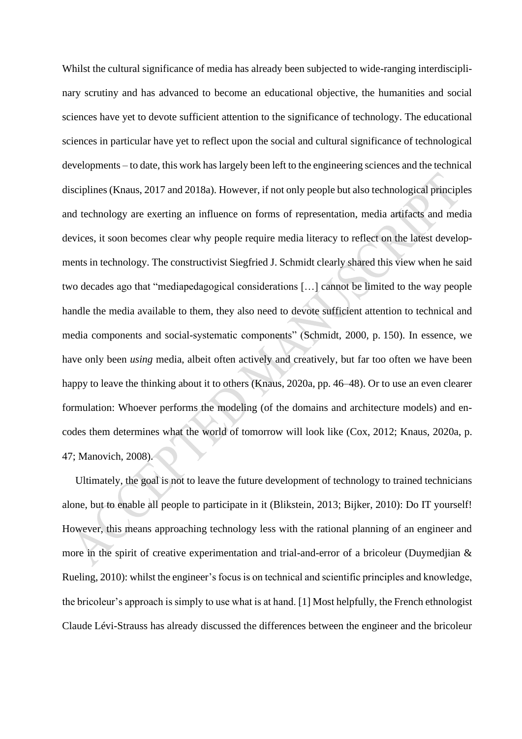Whilst the cultural significance of media has already been subjected to wide-ranging interdisciplinary scrutiny and has advanced to become an educational objective, the humanities and social sciences have yet to devote sufficient attention to the significance of technology. The educational sciences in particular have yet to reflect upon the social and cultural significance of technological developments – to date, this work has largely been left to the engineering sciences and the technical disciplines (Knaus, 2017 and 2018a). However, if not only people but also technological principles and technology are exerting an influence on forms of representation, media artifacts and media devices, it soon becomes clear why people require media literacy to reflect on the latest developments in technology. The constructivist Siegfried J. Schmidt clearly shared this view when he said two decades ago that "mediapedagogical considerations […] cannot be limited to the way people handle the media available to them, they also need to devote sufficient attention to technical and media components and social-systematic components" (Schmidt, 2000, p. 150). In essence, we have only been *using* media, albeit often actively and creatively, but far too often we have been happy to leave the thinking about it to others (Knaus, 2020a, pp. 46–48). Or to use an even clearer formulation: Whoever performs the modeling (of the domains and architecture models) and encodes them determines what the world of tomorrow will look like (Cox, 2012; Knaus, 2020a, p. 47; Manovich, 2008).

Ultimately, the goal is not to leave the future development of technology to trained technicians alone, but to enable all people to participate in it (Blikstein, 2013; Bijker, 2010): Do IT yourself! However, this means approaching technology less with the rational planning of an engineer and more in the spirit of creative experimentation and trial-and-error of a bricoleur (Duymedjian & Rueling, 2010): whilst the engineer's focus is on technical and scientific principles and knowledge, the bricoleur's approach is simply to use what is at hand. [1] Most helpfully, the French ethnologist Claude Lévi-Strauss has already discussed the differences between the engineer and the bricoleur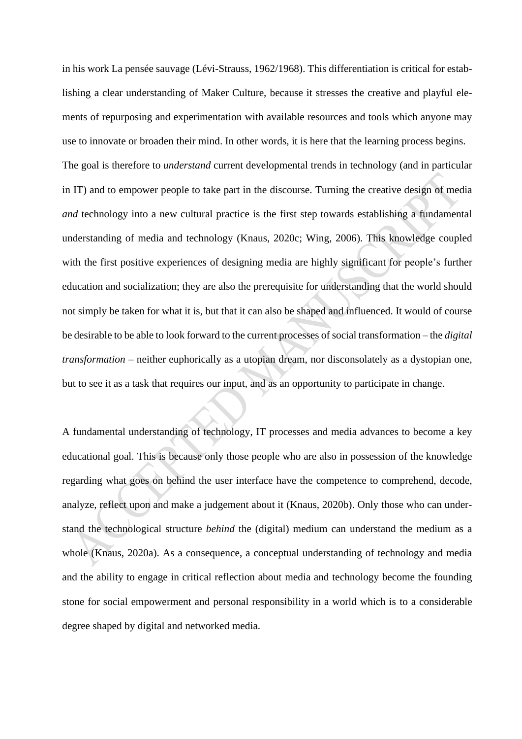in his work La pensée sauvage (Lévi-Strauss, 1962/1968). This differentiation is critical for establishing a clear understanding of Maker Culture, because it stresses the creative and playful elements of repurposing and experimentation with available resources and tools which anyone may use to innovate or broaden their mind. In other words, it is here that the learning process begins. The goal is therefore to *understand* current developmental trends in technology (and in particular in IT) and to empower people to take part in the discourse. Turning the creative design of media *and* technology into a new cultural practice is the first step towards establishing a fundamental understanding of media and technology (Knaus, 2020c; Wing, 2006). This knowledge coupled with the first positive experiences of designing media are highly significant for people's further education and socialization; they are also the prerequisite for understanding that the world should not simply be taken for what it is, but that it can also be shaped and influenced. It would of course be desirable to be able to look forward to the current processes of social transformation – the *digital transformation* – neither euphorically as a utopian dream, nor disconsolately as a dystopian one, but to see it as a task that requires our input, and as an opportunity to participate in change.

A fundamental understanding of technology, IT processes and media advances to become a key educational goal. This is because only those people who are also in possession of the knowledge regarding what goes on behind the user interface have the competence to comprehend, decode, analyze, reflect upon and make a judgement about it (Knaus, 2020b). Only those who can understand the technological structure *behind* the (digital) medium can understand the medium as a whole (Knaus, 2020a). As a consequence, a conceptual understanding of technology and media and the ability to engage in critical reflection about media and technology become the founding stone for social empowerment and personal responsibility in a world which is to a considerable degree shaped by digital and networked media.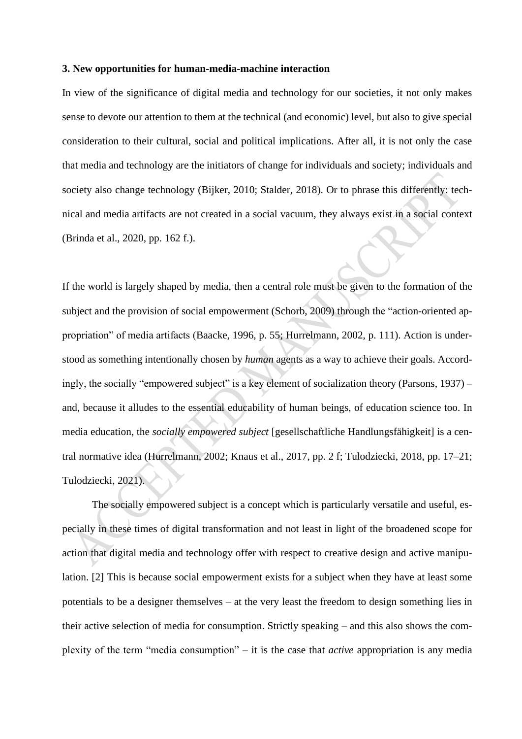#### **3. New opportunities for human-media-machine interaction**

In view of the significance of digital media and technology for our societies, it not only makes sense to devote our attention to them at the technical (and economic) level, but also to give special consideration to their cultural, social and political implications. After all, it is not only the case that media and technology are the initiators of change for individuals and society; individuals and society also change technology (Bijker, 2010; Stalder, 2018). Or to phrase this differently: technical and media artifacts are not created in a social vacuum, they always exist in a social context (Brinda et al., 2020, pp. 162 f.).

If the world is largely shaped by media, then a central role must be given to the formation of the subject and the provision of social empowerment (Schorb, 2009) through the "action-oriented appropriation" of media artifacts (Baacke, 1996, p. 55; Hurrelmann, 2002, p. 111). Action is understood as something intentionally chosen by *human* agents as a way to achieve their goals. Accordingly, the socially "empowered subject" is a key element of socialization theory (Parsons, 1937) – and, because it alludes to the essential educability of human beings, of education science too. In media education, the *socially empowered subject* [gesellschaftliche Handlungsfähigkeit] is a central normative idea (Hurrelmann, 2002; Knaus et al., 2017, pp. 2 f; Tulodziecki, 2018, pp. 17–21; Tulodziecki, 2021).

The socially empowered subject is a concept which is particularly versatile and useful, especially in these times of digital transformation and not least in light of the broadened scope for action that digital media and technology offer with respect to creative design and active manipulation. [2] This is because social empowerment exists for a subject when they have at least some potentials to be a designer themselves – at the very least the freedom to design something lies in their active selection of media for consumption. Strictly speaking – and this also shows the complexity of the term "media consumption" – it is the case that *active* appropriation is any media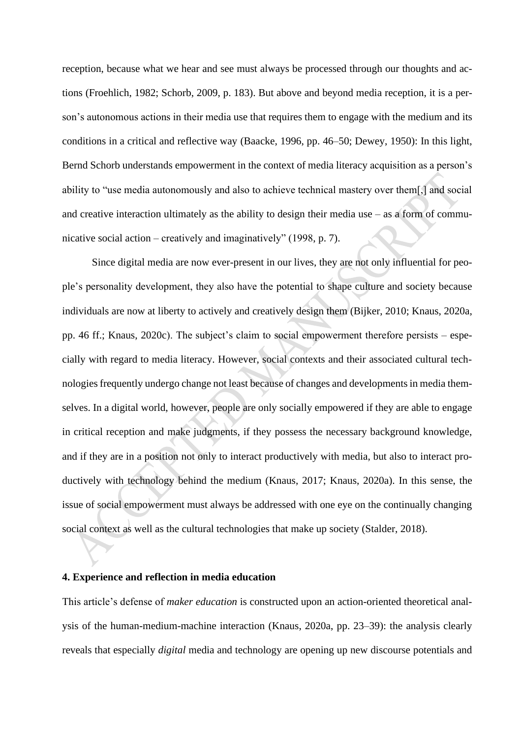reception, because what we hear and see must always be processed through our thoughts and actions (Froehlich, 1982; Schorb, 2009, p. 183). But above and beyond media reception, it is a person's autonomous actions in their media use that requires them to engage with the medium and its conditions in a critical and reflective way (Baacke, 1996, pp. 46–50; Dewey, 1950): In this light, Bernd Schorb understands empowerment in the context of media literacy acquisition as a person's ability to "use media autonomously and also to achieve technical mastery over them[,] and social and creative interaction ultimately as the ability to design their media use  $-$  as a form of communicative social action – creatively and imaginatively" (1998, p. 7).

Since digital media are now ever-present in our lives, they are not only influential for people's personality development, they also have the potential to shape culture and society because individuals are now at liberty to actively and creatively design them (Bijker, 2010; Knaus, 2020a, pp. 46 ff.; Knaus, 2020c). The subject's claim to social empowerment therefore persists – especially with regard to media literacy. However, social contexts and their associated cultural technologies frequently undergo change not least because of changes and developments in media themselves. In a digital world, however, people are only socially empowered if they are able to engage in critical reception and make judgments, if they possess the necessary background knowledge, and if they are in a position not only to interact productively with media, but also to interact productively with technology behind the medium (Knaus, 2017; Knaus, 2020a). In this sense, the issue of social empowerment must always be addressed with one eye on the continually changing social context as well as the cultural technologies that make up society (Stalder, 2018).

# **4. Experience and reflection in media education**

This article's defense of *maker education* is constructed upon an action-oriented theoretical analysis of the human-medium-machine interaction (Knaus, 2020a, pp. 23–39): the analysis clearly reveals that especially *digital* media and technology are opening up new discourse potentials and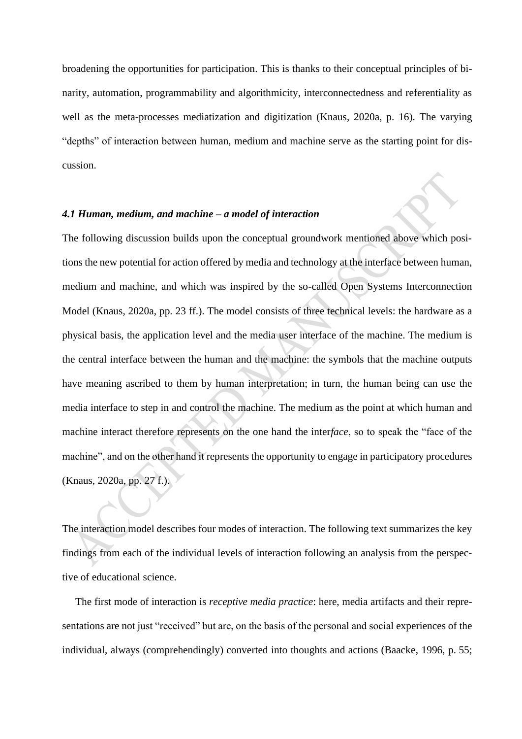broadening the opportunities for participation. This is thanks to their conceptual principles of binarity, automation, programmability and algorithmicity, interconnectedness and referentiality as well as the meta-processes mediatization and digitization (Knaus, 2020a, p. 16). The varying "depths" of interaction between human, medium and machine serve as the starting point for discussion.

# *4.1 Human, medium, and machine – a model of interaction*

The following discussion builds upon the conceptual groundwork mentioned above which positions the new potential for action offered by media and technology at the interface between human, medium and machine, and which was inspired by the so-called Open Systems Interconnection Model (Knaus, 2020a, pp. 23 ff.). The model consists of three technical levels: the hardware as a physical basis, the application level and the media user interface of the machine. The medium is the central interface between the human and the machine: the symbols that the machine outputs have meaning ascribed to them by human interpretation; in turn, the human being can use the media interface to step in and control the machine. The medium as the point at which human and machine interact therefore represents on the one hand the inter*face*, so to speak the "face of the machine", and on the other hand it represents the opportunity to engage in participatory procedures (Knaus, 2020a, pp. 27 f.)*.*

The interaction model describes four modes of interaction. The following text summarizes the key findings from each of the individual levels of interaction following an analysis from the perspective of educational science.

The first mode of interaction is *receptive media practice*: here, media artifacts and their representations are not just "received" but are, on the basis of the personal and social experiences of the individual, always (comprehendingly) converted into thoughts and actions (Baacke, 1996, p. 55;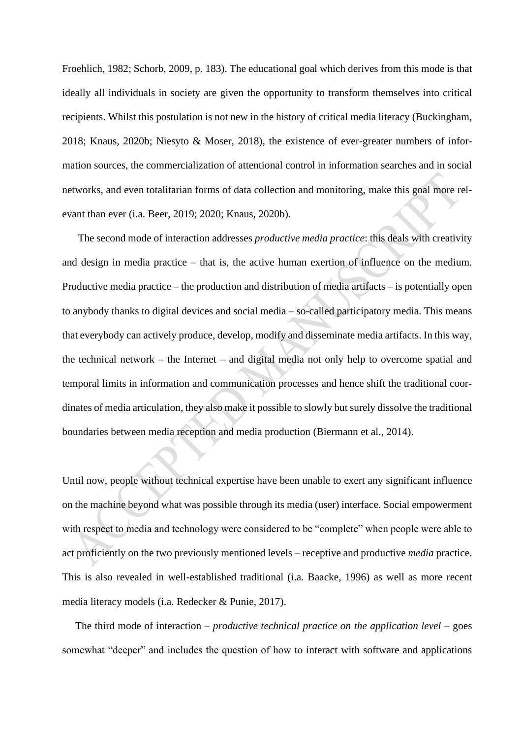Froehlich, 1982; Schorb, 2009, p. 183). The educational goal which derives from this mode is that ideally all individuals in society are given the opportunity to transform themselves into critical recipients. Whilst this postulation is not new in the history of critical media literacy (Buckingham, 2018; Knaus, 2020b; Niesyto & Moser, 2018), the existence of ever-greater numbers of information sources, the commercialization of attentional control in information searches and in social networks, and even totalitarian forms of data collection and monitoring, make this goal more relevant than ever (i.a. Beer, 2019; 2020; Knaus, 2020b).

The second mode of interaction addresses *productive media practice*: this deals with creativity and design in media practice – that is, the active human exertion of influence on the medium. Productive media practice – the production and distribution of media artifacts – is potentially open to anybody thanks to digital devices and social media – so-called participatory media. This means that everybody can actively produce, develop, modify and disseminate media artifacts. In this way, the technical network – the Internet – and digital media not only help to overcome spatial and temporal limits in information and communication processes and hence shift the traditional coordinates of media articulation, they also make it possible to slowly but surely dissolve the traditional boundaries between media reception and media production (Biermann et al., 2014).

Until now, people without technical expertise have been unable to exert any significant influence on the machine beyond what was possible through its media (user) interface. Social empowerment with respect to media and technology were considered to be "complete" when people were able to act proficiently on the two previously mentioned levels – receptive and productive *media* practice. This is also revealed in well-established traditional (i.a. Baacke, 1996) as well as more recent media literacy models (i.a. Redecker & Punie, 2017).

The third mode of interaction – *productive technical practice on the application level* – goes somewhat "deeper" and includes the question of how to interact with software and applications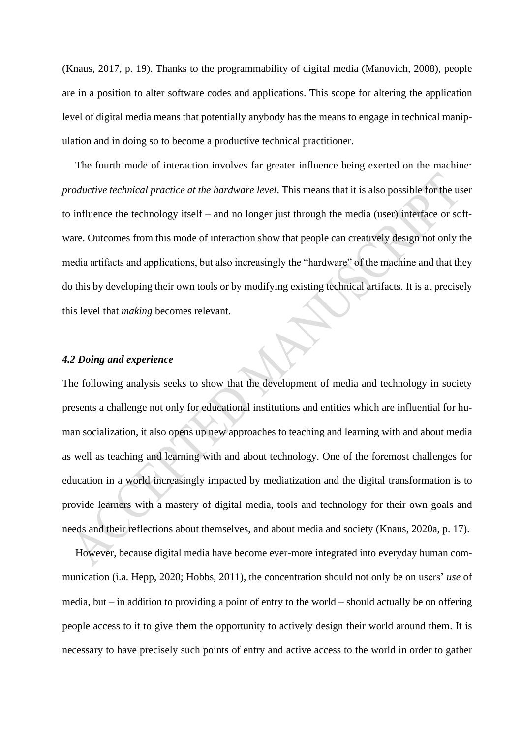(Knaus, 2017, p. 19). Thanks to the programmability of digital media (Manovich, 2008), people are in a position to alter software codes and applications. This scope for altering the application level of digital media means that potentially anybody has the means to engage in technical manipulation and in doing so to become a productive technical practitioner.

The fourth mode of interaction involves far greater influence being exerted on the machine: *productive technical practice at the hardware level*. This means that it is also possible for the user to influence the technology itself – and no longer just through the media (user) interface or software. Outcomes from this mode of interaction show that people can creatively design not only the media artifacts and applications, but also increasingly the "hardware" of the machine and that they do this by developing their own tools or by modifying existing technical artifacts. It is at precisely this level that *making* becomes relevant.

# *4.2 Doing and experience*

The following analysis seeks to show that the development of media and technology in society presents a challenge not only for educational institutions and entities which are influential for human socialization, it also opens up new approaches to teaching and learning with and about media as well as teaching and learning with and about technology. One of the foremost challenges for education in a world increasingly impacted by mediatization and the digital transformation is to provide learners with a mastery of digital media, tools and technology for their own goals and needs and their reflections about themselves, and about media and society (Knaus, 2020a, p. 17).

However, because digital media have become ever-more integrated into everyday human communication (i.a. Hepp, 2020; Hobbs, 2011), the concentration should not only be on users' *use* of media, but – in addition to providing a point of entry to the world – should actually be on offering people access to it to give them the opportunity to actively design their world around them. It is necessary to have precisely such points of entry and active access to the world in order to gather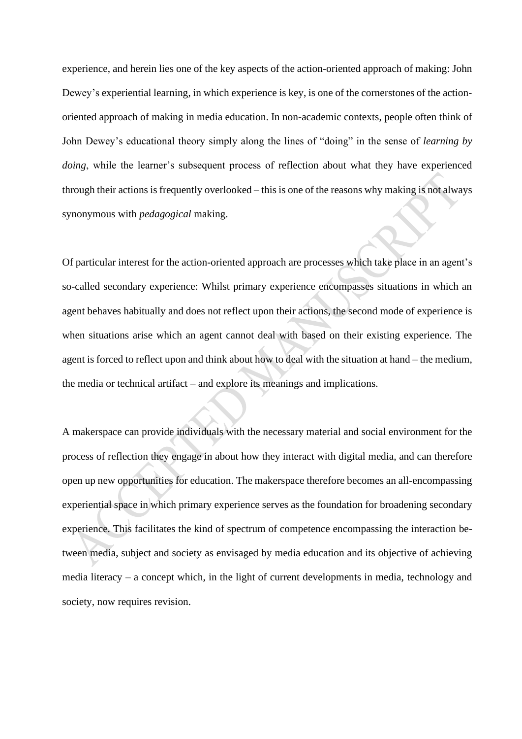experience, and herein lies one of the key aspects of the action-oriented approach of making: John Dewey's experiential learning, in which experience is key, is one of the cornerstones of the actionoriented approach of making in media education. In non-academic contexts, people often think of John Dewey's educational theory simply along the lines of "doing" in the sense of *learning by doing*, while the learner's subsequent process of reflection about what they have experienced through their actions is frequently overlooked – this is one of the reasons why making is not always synonymous with *pedagogical* making.

Of particular interest for the action-oriented approach are processes which take place in an agent's so-called secondary experience: Whilst primary experience encompasses situations in which an agent behaves habitually and does not reflect upon their actions, the second mode of experience is when situations arise which an agent cannot deal with based on their existing experience. The agent is forced to reflect upon and think about how to deal with the situation at hand – the medium, the media or technical artifact – and explore its meanings and implications.

A makerspace can provide individuals with the necessary material and social environment for the process of reflection they engage in about how they interact with digital media, and can therefore open up new opportunities for education. The makerspace therefore becomes an all-encompassing experiential space in which primary experience serves as the foundation for broadening secondary experience. This facilitates the kind of spectrum of competence encompassing the interaction between media, subject and society as envisaged by media education and its objective of achieving media literacy – a concept which, in the light of current developments in media, technology and society, now requires revision.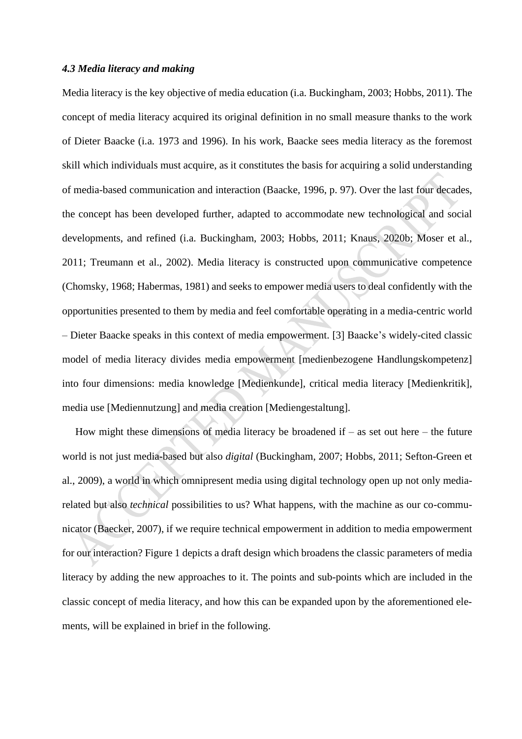# *4.3 Media literacy and making*

Media literacy is the key objective of media education (i.a. Buckingham, 2003; Hobbs, 2011). The concept of media literacy acquired its original definition in no small measure thanks to the work of Dieter Baacke (i.a. 1973 and 1996). In his work, Baacke sees media literacy as the foremost skill which individuals must acquire, as it constitutes the basis for acquiring a solid understanding of media-based communication and interaction (Baacke, 1996, p. 97). Over the last four decades, the concept has been developed further, adapted to accommodate new technological and social developments, and refined (i.a. Buckingham, 2003; Hobbs, 2011; Knaus, 2020b; Moser et al., 2011; Treumann et al., 2002). Media literacy is constructed upon communicative competence (Chomsky, 1968; Habermas, 1981) and seeks to empower media users to deal confidently with the opportunities presented to them by media and feel comfortable operating in a media-centric world – Dieter Baacke speaks in this context of media empowerment. [3] Baacke's widely-cited classic model of media literacy divides media empowerment [medienbezogene Handlungskompetenz] into four dimensions: media knowledge [Medienkunde], critical media literacy [Medienkritik], media use [Mediennutzung] and media creation [Mediengestaltung].

How might these dimensions of media literacy be broadened if  $-$  as set out here  $-$  the future world is not just media-based but also *digital* (Buckingham, 2007; Hobbs, 2011; Sefton-Green et al., 2009), a world in which omnipresent media using digital technology open up not only mediarelated but also *technical* possibilities to us? What happens, with the machine as our co-communicator (Baecker, 2007), if we require technical empowerment in addition to media empowerment for our interaction? Figure 1 depicts a draft design which broadens the classic parameters of media literacy by adding the new approaches to it. The points and sub-points which are included in the classic concept of media literacy, and how this can be expanded upon by the aforementioned elements, will be explained in brief in the following.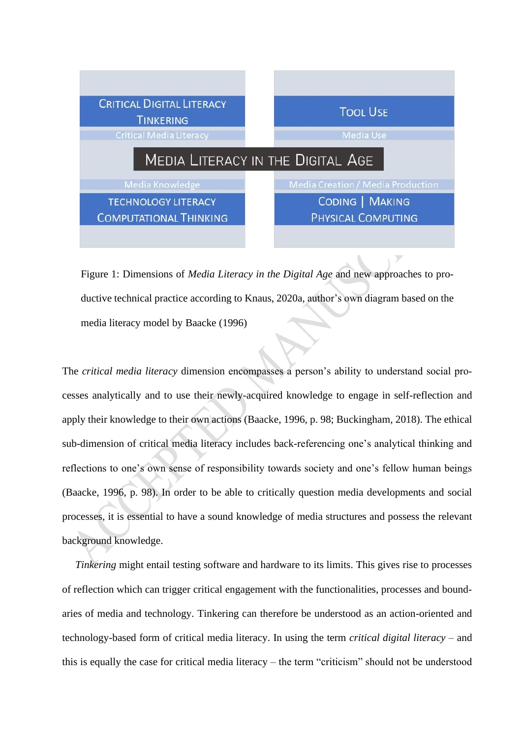

Figure 1: Dimensions of *Media Literacy in the Digital Age* and new approaches to productive technical practice according to Knaus, 2020a, author's own diagram based on the media literacy model by Baacke (1996)

The *critical media literacy* dimension encompasses a person's ability to understand social processes analytically and to use their newly-acquired knowledge to engage in self-reflection and apply their knowledge to their own actions (Baacke, 1996, p. 98; Buckingham, 2018). The ethical sub-dimension of critical media literacy includes back-referencing one's analytical thinking and reflections to one's own sense of responsibility towards society and one's fellow human beings (Baacke, 1996, p. 98). In order to be able to critically question media developments and social processes, it is essential to have a sound knowledge of media structures and possess the relevant background knowledge.

*Tinkering* might entail testing software and hardware to its limits. This gives rise to processes of reflection which can trigger critical engagement with the functionalities, processes and boundaries of media and technology. Tinkering can therefore be understood as an action-oriented and technology-based form of critical media literacy. In using the term *critical digital literacy* – and this is equally the case for critical media literacy – the term "criticism" should not be understood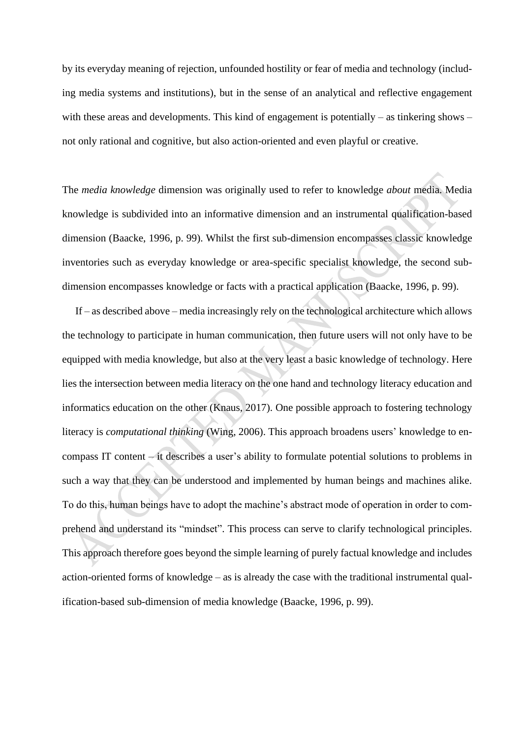by its everyday meaning of rejection, unfounded hostility or fear of media and technology (including media systems and institutions), but in the sense of an analytical and reflective engagement with these areas and developments. This kind of engagement is potentially – as tinkering shows – not only rational and cognitive, but also action-oriented and even playful or creative.

The *media knowledge* dimension was originally used to refer to knowledge *about* media. Media knowledge is subdivided into an informative dimension and an instrumental qualification-based dimension (Baacke, 1996, p. 99). Whilst the first sub-dimension encompasses classic knowledge inventories such as everyday knowledge or area-specific specialist knowledge, the second subdimension encompasses knowledge or facts with a practical application (Baacke, 1996, p. 99).

If – as described above – media increasingly rely on the technological architecture which allows the technology to participate in human communication, then future users will not only have to be equipped with media knowledge, but also at the very least a basic knowledge of technology. Here lies the intersection between media literacy on the one hand and technology literacy education and informatics education on the other (Knaus, 2017). One possible approach to fostering technology literacy is *computational thinking* (Wing, 2006). This approach broadens users' knowledge to encompass IT content – it describes a user's ability to formulate potential solutions to problems in such a way that they can be understood and implemented by human beings and machines alike. To do this, human beings have to adopt the machine's abstract mode of operation in order to comprehend and understand its "mindset". This process can serve to clarify technological principles. This approach therefore goes beyond the simple learning of purely factual knowledge and includes action-oriented forms of knowledge – as is already the case with the traditional instrumental qualification-based sub-dimension of media knowledge (Baacke, 1996, p. 99).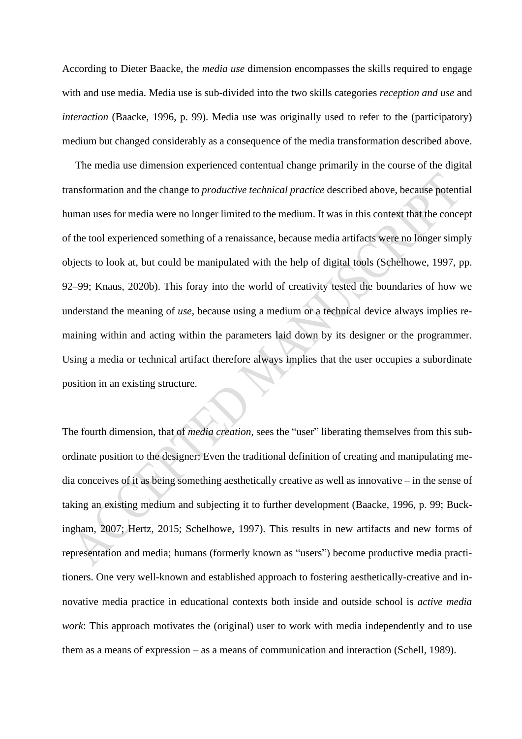According to Dieter Baacke, the *media use* dimension encompasses the skills required to engage with and use media. Media use is sub-divided into the two skills categories *reception and use* and *interaction* (Baacke, 1996, p. 99). Media use was originally used to refer to the (participatory) medium but changed considerably as a consequence of the media transformation described above.

The media use dimension experienced contentual change primarily in the course of the digital transformation and the change to *productive technical practice* described above, because potential human uses for media were no longer limited to the medium. It was in this context that the concept of the tool experienced something of a renaissance, because media artifacts were no longer simply objects to look at, but could be manipulated with the help of digital tools (Schelhowe, 1997, pp. 92–99; Knaus, 2020b). This foray into the world of creativity tested the boundaries of how we understand the meaning of *use*, because using a medium or a technical device always implies remaining within and acting within the parameters laid down by its designer or the programmer. Using a media or technical artifact therefore always implies that the user occupies a subordinate position in an existing structure.

The fourth dimension, that of *media creation*, sees the "user" liberating themselves from this subordinate position to the designer: Even the traditional definition of creating and manipulating media conceives of it as being something aesthetically creative as well as innovative – in the sense of taking an existing medium and subjecting it to further development (Baacke, 1996, p. 99; Buckingham, 2007; Hertz, 2015; Schelhowe, 1997). This results in new artifacts and new forms of representation and media; humans (formerly known as "users") become productive media practitioners. One very well-known and established approach to fostering aesthetically-creative and innovative media practice in educational contexts both inside and outside school is *active media work*: This approach motivates the (original) user to work with media independently and to use them as a means of expression – as a means of communication and interaction (Schell, 1989).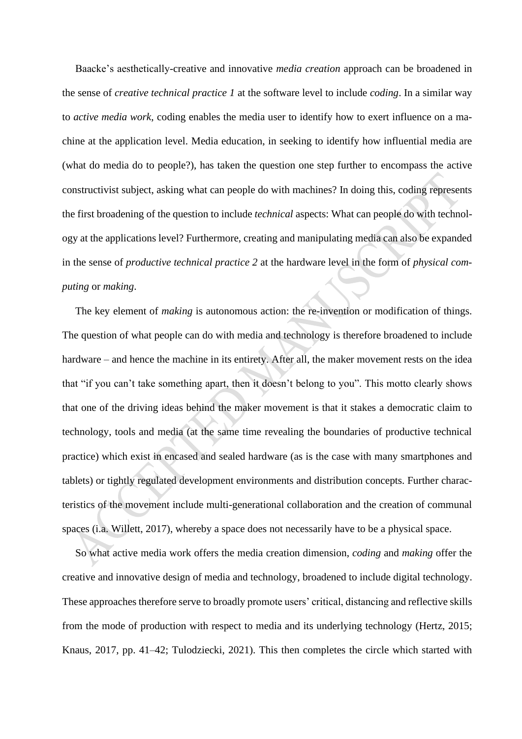Baacke's aesthetically-creative and innovative *media creation* approach can be broadened in the sense of *creative technical practice 1* at the software level to include *coding*. In a similar way to *active media work*, coding enables the media user to identify how to exert influence on a machine at the application level. Media education, in seeking to identify how influential media are (what do media do to people?), has taken the question one step further to encompass the active constructivist subject, asking what can people do with machines? In doing this, coding represents the first broadening of the question to include *technical* aspects: What can people do with technology at the applications level? Furthermore, creating and manipulating media can also be expanded in the sense of *productive technical practice 2* at the hardware level in the form of *physical computing* or *making*.

The key element of *making* is autonomous action: the re-invention or modification of things. The question of what people can do with media and technology is therefore broadened to include hardware – and hence the machine in its entirety. After all, the maker movement rests on the idea that "if you can't take something apart, then it doesn't belong to you". This motto clearly shows that one of the driving ideas behind the maker movement is that it stakes a democratic claim to technology, tools and media (at the same time revealing the boundaries of productive technical practice) which exist in encased and sealed hardware (as is the case with many smartphones and tablets) or tightly regulated development environments and distribution concepts. Further characteristics of the movement include multi-generational collaboration and the creation of communal spaces (i.a. Willett, 2017), whereby a space does not necessarily have to be a physical space.

So what active media work offers the media creation dimension, *coding* and *making* offer the creative and innovative design of media and technology, broadened to include digital technology. These approaches therefore serve to broadly promote users' critical, distancing and reflective skills from the mode of production with respect to media and its underlying technology (Hertz, 2015; Knaus, 2017, pp. 41–42; Tulodziecki, 2021). This then completes the circle which started with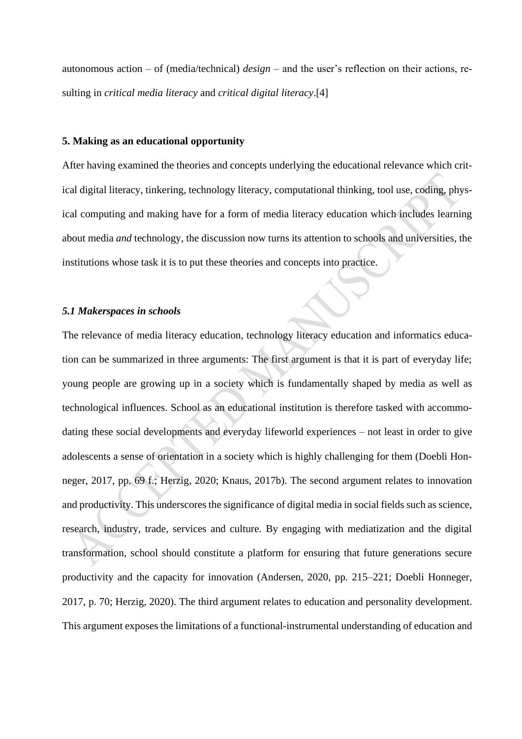autonomous action – of (media/technical) *design* – and the user's reflection on their actions, resulting in *critical media literacy* and *critical digital literacy*.[4]

### **5. Making as an educational opportunity**

After having examined the theories and concepts underlying the educational relevance which critical digital literacy, tinkering, technology literacy, computational thinking, tool use, coding, physical computing and making have for a form of media literacy education which includes learning about media *and* technology, the discussion now turns its attention to schools and universities, the institutions whose task it is to put these theories and concepts into practice.

#### *5.1 Makerspaces in schools*

The relevance of media literacy education, technology literacy education and informatics education can be summarized in three arguments: The first argument is that it is part of everyday life; young people are growing up in a society which is fundamentally shaped by media as well as technological influences. School as an educational institution is therefore tasked with accommodating these social developments and everyday lifeworld experiences – not least in order to give adolescents a sense of orientation in a society which is highly challenging for them (Doebli Honneger, 2017, pp. 69 f.; Herzig, 2020; Knaus, 2017b). The second argument relates to innovation and productivity. This underscores the significance of digital media in social fields such as science, research, industry, trade, services and culture. By engaging with mediatization and the digital transformation, school should constitute a platform for ensuring that future generations secure productivity and the capacity for innovation (Andersen, 2020, pp. 215–221; Doebli Honneger, 2017, p. 70; Herzig, 2020). The third argument relates to education and personality development. This argument exposes the limitations of a functional-instrumental understanding of education and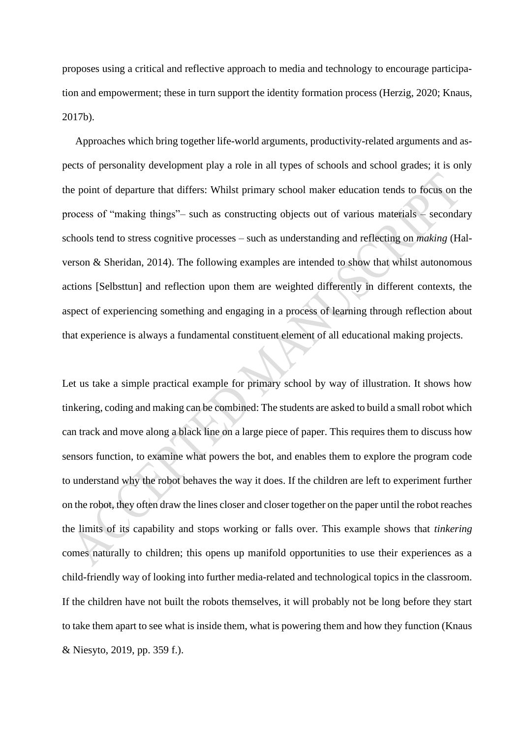proposes using a critical and reflective approach to media and technology to encourage participation and empowerment; these in turn support the identity formation process (Herzig, 2020; Knaus, 2017b).

Approaches which bring together life-world arguments, productivity-related arguments and aspects of personality development play a role in all types of schools and school grades; it is only the point of departure that differs: Whilst primary school maker education tends to focus on the process of "making things"– such as constructing objects out of various materials – secondary schools tend to stress cognitive processes – such as understanding and reflecting on *making* (Halverson & Sheridan, 2014). The following examples are intended to show that whilst autonomous actions [Selbsttun] and reflection upon them are weighted differently in different contexts, the aspect of experiencing something and engaging in a process of learning through reflection about that experience is always a fundamental constituent element of all educational making projects.

Let us take a simple practical example for primary school by way of illustration. It shows how tinkering, coding and making can be combined: The students are asked to build a small robot which can track and move along a black line on a large piece of paper. This requires them to discuss how sensors function, to examine what powers the bot, and enables them to explore the program code to understand why the robot behaves the way it does. If the children are left to experiment further on the robot, they often draw the lines closer and closer together on the paper until the robot reaches the limits of its capability and stops working or falls over. This example shows that *tinkering* comes naturally to children; this opens up manifold opportunities to use their experiences as a child-friendly way of looking into further media-related and technological topics in the classroom. If the children have not built the robots themselves, it will probably not be long before they start to take them apart to see what is inside them, what is powering them and how they function (Knaus & Niesyto, 2019, pp. 359 f.).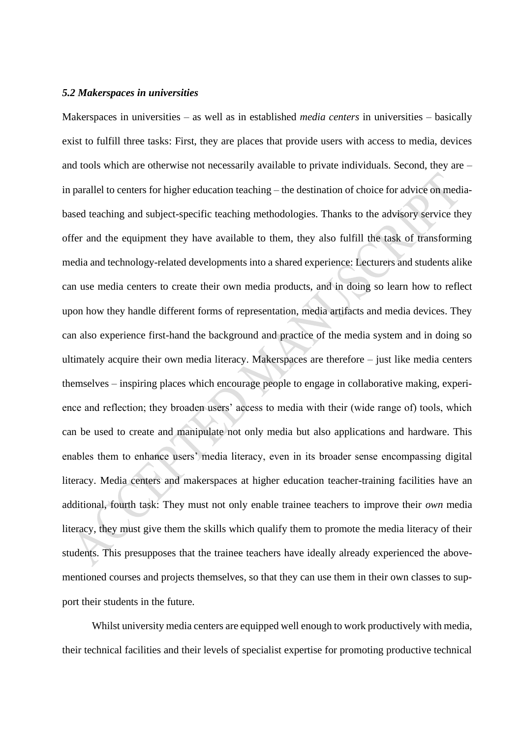#### *5.2 Makerspaces in universities*

Makerspaces in universities – as well as in established *media centers* in universities – basically exist to fulfill three tasks: First, they are places that provide users with access to media, devices and tools which are otherwise not necessarily available to private individuals. Second, they are – in parallel to centers for higher education teaching – the destination of choice for advice on mediabased teaching and subject-specific teaching methodologies. Thanks to the advisory service they offer and the equipment they have available to them, they also fulfill the task of transforming media and technology-related developments into a shared experience: Lecturers and students alike can use media centers to create their own media products, and in doing so learn how to reflect upon how they handle different forms of representation, media artifacts and media devices. They can also experience first-hand the background and practice of the media system and in doing so ultimately acquire their own media literacy. Makerspaces are therefore – just like media centers themselves – inspiring places which encourage people to engage in collaborative making, experience and reflection; they broaden users' access to media with their (wide range of) tools, which can be used to create and manipulate not only media but also applications and hardware. This enables them to enhance users' media literacy, even in its broader sense encompassing digital literacy. Media centers and makerspaces at higher education teacher-training facilities have an additional, fourth task: They must not only enable trainee teachers to improve their *own* media literacy, they must give them the skills which qualify them to promote the media literacy of their students. This presupposes that the trainee teachers have ideally already experienced the abovementioned courses and projects themselves, so that they can use them in their own classes to support their students in the future.

Whilst university media centers are equipped well enough to work productively with media, their technical facilities and their levels of specialist expertise for promoting productive technical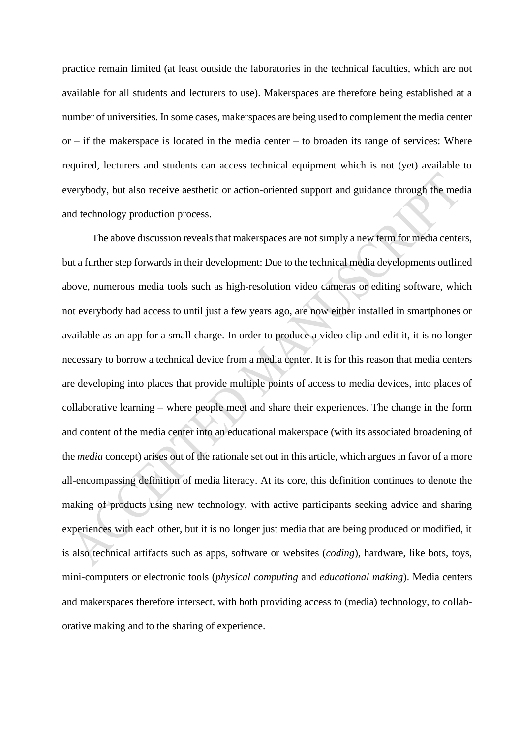practice remain limited (at least outside the laboratories in the technical faculties, which are not available for all students and lecturers to use). Makerspaces are therefore being established at a number of universities. In some cases, makerspaces are being used to complement the media center  $or - if the makerspace is located in the media center - to broaden its range of services: Where$ required, lecturers and students can access technical equipment which is not (yet) available to everybody, but also receive aesthetic or action-oriented support and guidance through the media and technology production process.

The above discussion reveals that makerspaces are not simply a new term for media centers, but a further step forwards in their development: Due to the technical media developments outlined above, numerous media tools such as high-resolution video cameras or editing software, which not everybody had access to until just a few years ago, are now either installed in smartphones or available as an app for a small charge. In order to produce a video clip and edit it, it is no longer necessary to borrow a technical device from a media center. It is for this reason that media centers are developing into places that provide multiple points of access to media devices, into places of collaborative learning – where people meet and share their experiences. The change in the form and content of the media center into an educational makerspace (with its associated broadening of the *media* concept) arises out of the rationale set out in this article, which argues in favor of a more all-encompassing definition of media literacy. At its core, this definition continues to denote the making of products using new technology, with active participants seeking advice and sharing experiences with each other, but it is no longer just media that are being produced or modified, it is also technical artifacts such as apps, software or websites (*coding*), hardware, like bots, toys, mini-computers or electronic tools (*physical computing* and *educational making*). Media centers and makerspaces therefore intersect, with both providing access to (media) technology, to collaborative making and to the sharing of experience.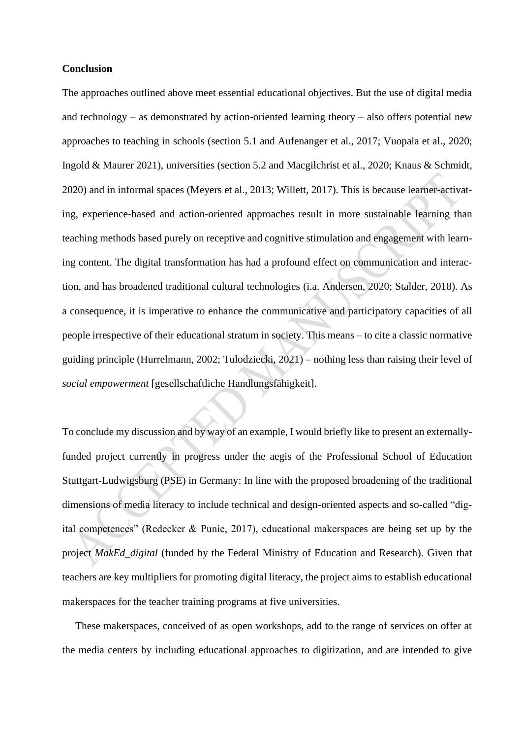# **Conclusion**

The approaches outlined above meet essential educational objectives. But the use of digital media and technology – as demonstrated by action-oriented learning theory – also offers potential new approaches to teaching in schools (section 5.1 and Aufenanger et al., 2017; Vuopala et al., 2020; Ingold & Maurer 2021), universities (section 5.2 and Macgilchrist et al., 2020; Knaus & Schmidt, 2020) and in informal spaces (Meyers et al., 2013; Willett, 2017). This is because learner-activating, experience-based and action-oriented approaches result in more sustainable learning than teaching methods based purely on receptive and cognitive stimulation and engagement with learning content. The digital transformation has had a profound effect on communication and interaction, and has broadened traditional cultural technologies (i.a. Andersen, 2020; Stalder, 2018). As a consequence, it is imperative to enhance the communicative and participatory capacities of all people irrespective of their educational stratum in society. This means – to cite a classic normative guiding principle (Hurrelmann, 2002; Tulodziecki, 2021) – nothing less than raising their level of *social empowerment* [gesellschaftliche Handlungsfähigkeit].

To conclude my discussion and by way of an example, I would briefly like to present an externallyfunded project currently in progress under the aegis of the Professional School of Education Stuttgart-Ludwigsburg (PSE) in Germany: In line with the proposed broadening of the traditional dimensions of media literacy to include technical and design-oriented aspects and so-called "digital competences" (Redecker & Punie, 2017), educational makerspaces are being set up by the project *MakEd\_digital* (funded by the Federal Ministry of Education and Research). Given that teachers are key multipliers for promoting digital literacy, the project aims to establish educational makerspaces for the teacher training programs at five universities.

These makerspaces, conceived of as open workshops, add to the range of services on offer at the media centers by including educational approaches to digitization, and are intended to give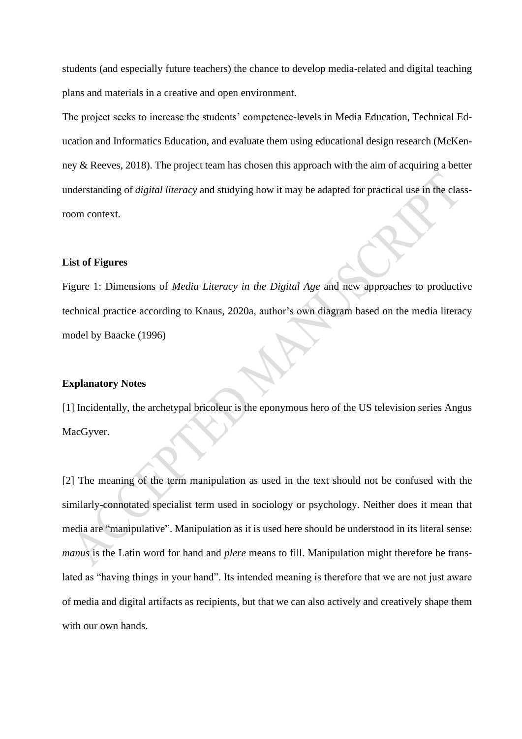students (and especially future teachers) the chance to develop media-related and digital teaching plans and materials in a creative and open environment.

The project seeks to increase the students' competence-levels in Media Education, Technical Education and Informatics Education, and evaluate them using educational design research (McKenney & Reeves, 2018). The project team has chosen this approach with the aim of acquiring a better understanding of *digital literacy* and studying how it may be adapted for practical use in the classroom context.

# **List of Figures**

Figure 1: Dimensions of *Media Literacy in the Digital Age* and new approaches to productive technical practice according to Knaus, 2020a, author's own diagram based on the media literacy model by Baacke (1996)

#### **Explanatory Notes**

[1] Incidentally, the archetypal bricoleur is the eponymous hero of the US television series Angus MacGyver.

[2] The meaning of the term manipulation as used in the text should not be confused with the similarly-connotated specialist term used in sociology or psychology. Neither does it mean that media are "manipulative". Manipulation as it is used here should be understood in its literal sense: *manus* is the Latin word for hand and *plere* means to fill. Manipulation might therefore be translated as "having things in your hand". Its intended meaning is therefore that we are not just aware of media and digital artifacts as recipients, but that we can also actively and creatively shape them with our own hands.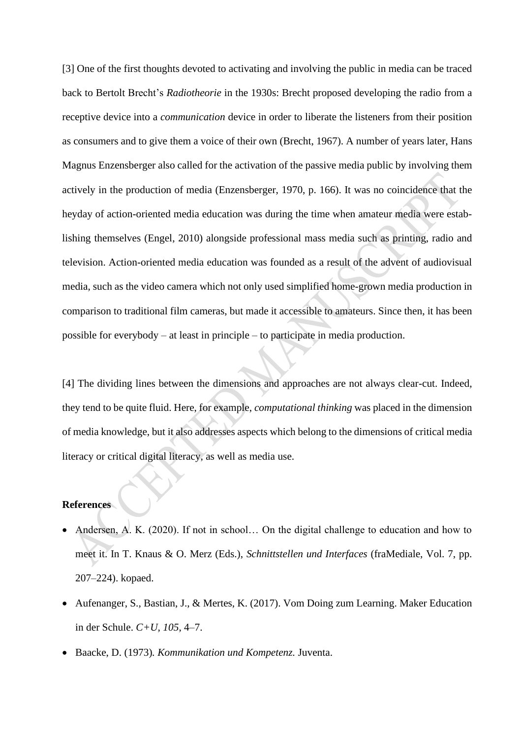[3] One of the first thoughts devoted to activating and involving the public in media can be traced back to Bertolt Brecht's *Radiotheorie* in the 1930s: Brecht proposed developing the radio from a receptive device into a *communication* device in order to liberate the listeners from their position as consumers and to give them a voice of their own (Brecht, 1967). A number of years later, Hans Magnus Enzensberger also called for the activation of the passive media public by involving them actively in the production of media (Enzensberger, 1970, p. 166). It was no coincidence that the heyday of action-oriented media education was during the time when amateur media were establishing themselves (Engel, 2010) alongside professional mass media such as printing, radio and television. Action-oriented media education was founded as a result of the advent of audiovisual media, such as the video camera which not only used simplified home-grown media production in comparison to traditional film cameras, but made it accessible to amateurs. Since then, it has been possible for everybody – at least in principle – to participate in media production.

[4] The dividing lines between the dimensions and approaches are not always clear-cut. Indeed, they tend to be quite fluid. Here, for example, *computational thinking* was placed in the dimension of media knowledge, but it also addresses aspects which belong to the dimensions of critical media literacy or critical digital literacy, as well as media use.

## **References**

- Andersen, A. K. (2020). If not in school... On the digital challenge to education and how to meet it. In T. Knaus & O. Merz (Eds.), *Schnittstellen und Interfaces* (fraMediale, Vol. 7, pp. 207–224). kopaed.
- Aufenanger, S., Bastian, J., & Mertes, K. (2017). Vom Doing zum Learning. Maker Education in der Schule. *C+U, 105*, 4–7.
- Baacke, D. (1973)*. Kommunikation und Kompetenz.* Juventa.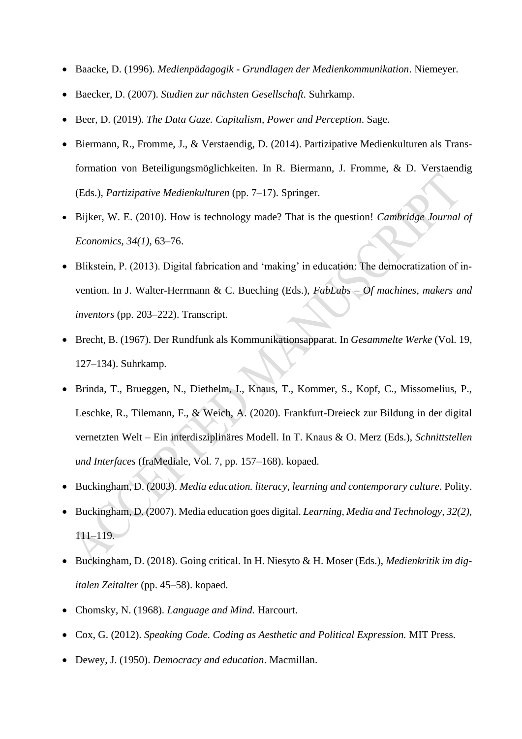- Baacke, D. (1996). *Medienpädagogik - Grundlagen der Medienkommunikation*. Niemeyer.
- Baecker, D. (2007). *Studien zur nächsten Gesellschaft.* Suhrkamp.
- Beer, D. (2019). *The Data Gaze. Capitalism, Power and Perception*. Sage.
- Biermann, R., Fromme, J., & Verstaendig, D. (2014). Partizipative Medienkulturen als Transformation von Beteiligungsmöglichkeiten. In R. Biermann, J. Fromme, & D. Verstaendig (Eds.), *Partizipative Medienkulturen* (pp. 7–17). Springer.
- Bijker, W. E. (2010). How is technology made? That is the question! *Cambridge Journal of Economics, 34(1),* 63–76.
- Blikstein, P. (2013). Digital fabrication and 'making' in education: The democratization of invention. In J. Walter-Herrmann & C. Bueching (Eds.), *FabLabs – Of machines, makers and inventors* (pp. 203–222). Transcript.
- Brecht, B. (1967). Der Rundfunk als Kommunikationsapparat. In *Gesammelte Werke* (Vol. 19, 127–134). Suhrkamp.
- Brinda, T., Brueggen, N., Diethelm, I., Knaus, T., Kommer, S., Kopf, C., Missomelius, P., Leschke, R., Tilemann, F., & Weich, A. (2020). Frankfurt-Dreieck zur Bildung in der digital vernetzten Welt – Ein interdisziplinäres Modell. In T. Knaus & O. Merz (Eds.), *Schnittstellen und Interfaces* (fraMediale, Vol. 7, pp. 157–168). kopaed.
- Buckingham, D. (2003). *Media education. literacy, learning and contemporary culture*. Polity.
- Buckingham, D. (2007). Media education goes digital. *Learning, Media and Technology, 32(2),* 111–119.
- Buckingham, D. (2018). Going critical. In H. Niesyto & H. Moser (Eds.), *Medienkritik im digitalen Zeitalter* (pp. 45–58). kopaed.
- Chomsky, N. (1968). *Language and Mind.* Harcourt.
- Cox, G. (2012). *Speaking Code. Coding as Aesthetic and Political Expression.* MIT Press.
- Dewey, J. (1950). *Democracy and education*. Macmillan.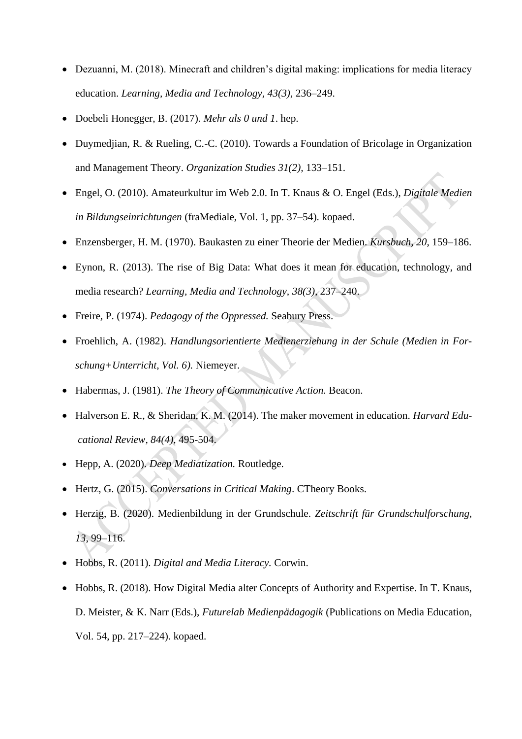- Dezuanni, M. (2018). Minecraft and children's digital making: implications for media literacy education. *Learning, Media and Technology, 43(3),* 236–249.
- Doebeli Honegger, B. (2017). *Mehr als 0 und 1*. hep.
- Duymedjian, R. & Rueling, C.-C. (2010). Towards a Foundation of Bricolage in Organization and Management Theory. *Organization Studies 31(2),* 133–151.
- Engel, O. (2010). Amateurkultur im Web 2.0. In T. Knaus & O. Engel (Eds.), *Digitale Medien in Bildungseinrichtungen* (fraMediale, Vol. 1, pp. 37–54). kopaed.
- Enzensberger, H. M. (1970). Baukasten zu einer Theorie der Medien. *Kursbuch, 20*, 159–186.
- Eynon, R. (2013). The rise of Big Data: What does it mean for education, technology, and media research? *Learning, Media and Technology, 38(3),* 237–240.
- Freire, P. (1974). *Pedagogy of the Oppressed.* Seabury Press.
- Froehlich, A. (1982). *Handlungsorientierte Medienerziehung in der Schule (Medien in Forschung+Unterricht, Vol. 6).* Niemeyer.
- Habermas, J. (1981). *The Theory of Communicative Action.* Beacon.
- Halverson E. R., & Sheridan, K. M. (2014). The maker movement in education. *Harvard Educational Review, 84(4),* 495-504.
- Hepp, A. (2020). *Deep Mediatization.* Routledge.
- Hertz, G. (2015). *Conversations in Critical Making*. CTheory Books.
- Herzig, B. (2020). Medienbildung in der Grundschule. *Zeitschrift für Grundschulforschung, 13*, 99–116.
- Hobbs, R. (2011). *Digital and Media Literacy.* Corwin.
- Hobbs, R. (2018). How Digital Media alter Concepts of Authority and Expertise. In T. Knaus, D. Meister, & K. Narr (Eds.), *Futurelab Medienpädagogik* (Publications on Media Education, Vol. 54, pp. 217–224). kopaed.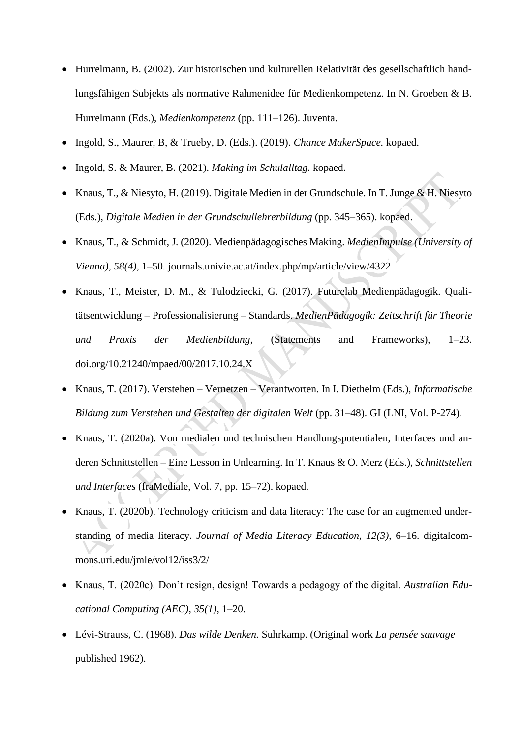- Hurrelmann, B. (2002). Zur historischen und kulturellen Relativität des gesellschaftlich handlungsfähigen Subjekts als normative Rahmenidee für Medienkompetenz. In N. Groeben & B. Hurrelmann (Eds.), *Medienkompetenz* (pp. 111–126). Juventa.
- Ingold, S., Maurer, B, & Trueby, D. (Eds.). (2019). *Chance MakerSpace.* kopaed.
- Ingold, S. & Maurer, B. (2021). *Making im Schulalltag.* kopaed.
- Knaus, T., & Niesyto, H. (2019). Digitale Medien in der Grundschule. In T. Junge & H. Niesyto (Eds.), *Digitale Medien in der Grundschullehrerbildung* (pp. 345–365). kopaed.
- Knaus, T., & Schmidt, J. (2020). Medienpädagogisches Making. *MedienImpulse (University of Vienna), 58(4),* 1–50. journals.univie.ac.at/index.php/mp/article/view/4322
- Knaus, T., Meister, D. M., & Tulodziecki, G. (2017). Futurelab Medienpädagogik. Qualitätsentwicklung – Professionalisierung – Standards. *MedienPädagogik: Zeitschrift für Theorie und Praxis der Medienbildung,* (Statements and Frameworks), 1–23. doi.org/10.21240/mpaed/00/2017.10.24.X
- Knaus, T. (2017). Verstehen Vernetzen Verantworten. In I. Diethelm (Eds.), *Informatische Bildung zum Verstehen und Gestalten der digitalen Welt* (pp. 31–48). GI (LNI, Vol. P-274).
- Knaus, T. (2020a). Von medialen und technischen Handlungspotentialen, Interfaces und anderen Schnittstellen – Eine Lesson in Unlearning. In T. Knaus & O. Merz (Eds.), *Schnittstellen und Interfaces* (fraMediale, Vol. 7, pp. 15–72). kopaed.
- Knaus, T. (2020b). Technology criticism and data literacy: The case for an augmented understanding of media literacy. *Journal of Media Literacy Education, 12(3)*, 6–16. digitalcommons.uri.edu/jmle/vol12/iss3/2/
- Knaus, T. (2020c). Don't resign, design! Towards a pedagogy of the digital. *Australian Educational Computing (AEC), 35(1)*, 1–20.
- Lévi-Strauss, C. (1968). *Das wilde Denken.* Suhrkamp. (Original work *La pensée sauvage* published 1962).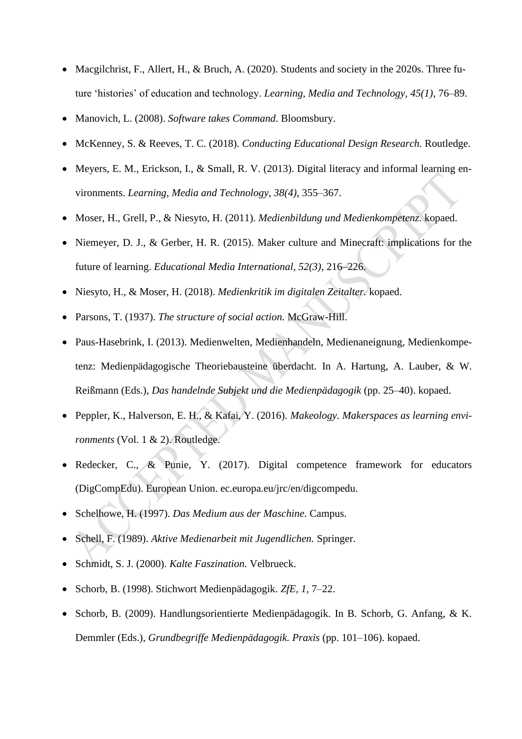- Macgilchrist, F., Allert, H., & Bruch, A. (2020). Students and society in the 2020s. Three future 'histories' of education and technology. *Learning, Media and Technology, 45(1)*, 76–89.
- Manovich, L. (2008). *Software takes Command*. Bloomsbury.
- McKenney, S. & Reeves, T. C. (2018). *Conducting Educational Design Research.* Routledge.
- Meyers, E. M., Erickson, I., & Small, R. V. (2013). Digital literacy and informal learning environments. *Learning, Media and Technology, 38(4)*, 355–367.
- Moser, H., Grell, P., & Niesyto, H. (2011). *Medienbildung und Medienkompetenz.* kopaed.
- Niemeyer, D. J., & Gerber, H. R. (2015). Maker culture and Minecraft: implications for the future of learning. *Educational Media International, 52(3)*, 216–226.
- Niesyto, H., & Moser, H. (2018). *Medienkritik im digitalen Zeitalter.* kopaed.
- Parsons, T. (1937). *The structure of social action.* McGraw-Hill.
- Paus-Hasebrink, I. (2013). Medienwelten, Medienhandeln, Medienaneignung, Medienkompetenz: Medienpädagogische Theoriebausteine überdacht. In A. Hartung, A. Lauber, & W. Reißmann (Eds.), *Das handelnde Subjekt und die Medienpädagogik* (pp. 25–40). kopaed.
- Peppler, K., Halverson, E. H., & Kafai, Y. (2016). *Makeology. Makerspaces as learning environments* (Vol. 1 & 2). Routledge.
- Redecker, C., & Punie, Y. (2017). Digital competence framework for educators (DigCompEdu). European Union. ec.europa.eu/jrc/en/digcompedu.
- Schelhowe, H. (1997). *Das Medium aus der Maschine.* Campus.
- Schell, F. (1989). *Aktive Medienarbeit mit Jugendlichen.* Springer.
- Schmidt, S. J. (2000). *Kalte Faszination.* Velbrueck.
- Schorb, B. (1998). Stichwort Medienpädagogik. *ZfE, 1*, 7–22.
- Schorb, B. (2009). Handlungsorientierte Medienpädagogik. In B. Schorb, G. Anfang, & K. Demmler (Eds.), *Grundbegriffe Medienpädagogik. Praxis* (pp. 101–106). kopaed.